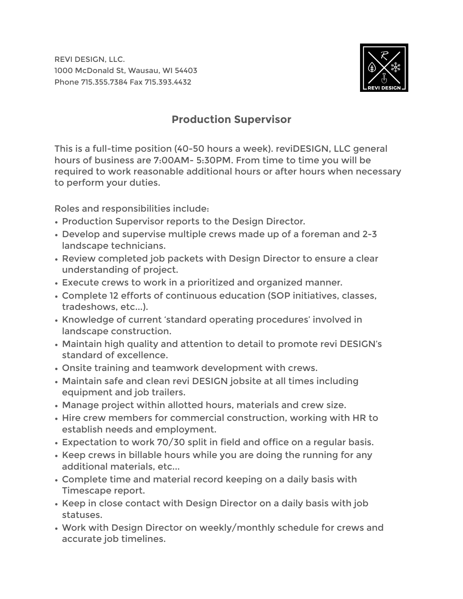REVI DESIGN, LLC. 1000 McDonald St, Wausau, WI 54403 Phone 715.355.7384 Fax 715.393.4432



## **Production Supervisor**

This is a full-time position (40-50 hours a week). reviDESIGN, LLC general hours of business are 7:00AM- 5:30PM. From time to time you will be required to work reasonable additional hours or after hours when necessary to perform your duties.

Roles and responsibilities include:

- Production Supervisor reports to the Design Director.
- Develop and supervise multiple crews made up of a foreman and 2-3 landscape technicians.
- Review completed job packets with Design Director to ensure a clear understanding of project.
- Execute crews to work in a prioritized and organized manner.
- Complete 12 efforts of continuous education (SOP initiatives, classes, tradeshows, etc...).
- Knowledge of current 'standard operating procedures' involved in landscape construction.
- Maintain high quality and attention to detail to promote revi DESIGN's standard of excellence.
- Onsite training and teamwork development with crews.
- Maintain safe and clean revi DESIGN jobsite at all times including equipment and job trailers.
- Manage project within allotted hours, materials and crew size.
- Hire crew members for commercial construction, working with HR to establish needs and employment.
- Expectation to work 70/30 split in field and office on a regular basis.
- Keep crews in billable hours while you are doing the running for any additional materials, etc...
- Complete time and material record keeping on a daily basis with Timescape report.
- Keep in close contact with Design Director on a daily basis with job statuses.
- Work with Design Director on weekly/monthly schedule for crews and accurate job timelines.